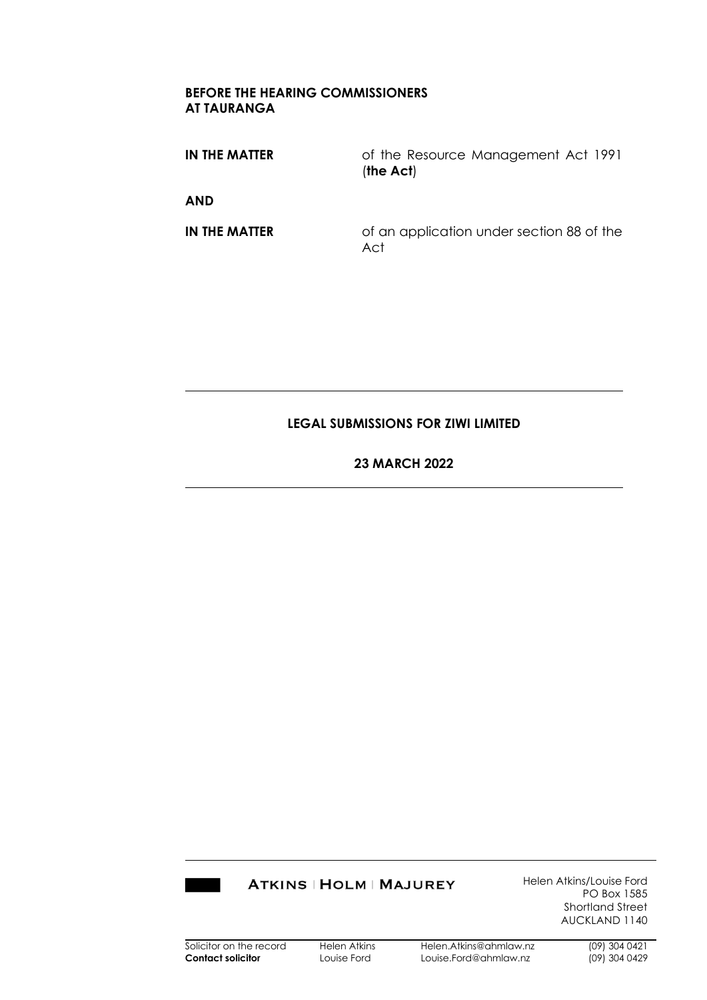#### **BEFORE THE HEARING COMMISSIONERS AT TAURANGA**

**IN THE MATTER** of the Resource Management Act 1991 (**the Act**) **AND**

**IN THE MATTER** of an application under section 88 of the Act

#### **LEGAL SUBMISSIONS FOR ZIWI LIMITED**

#### **23 MARCH 2022**

### **ATKINS | HOLM | MAJUREY**

Helen Atkins/Louise Ford PO Box 1585 Shortland Street AUCKLAND 1140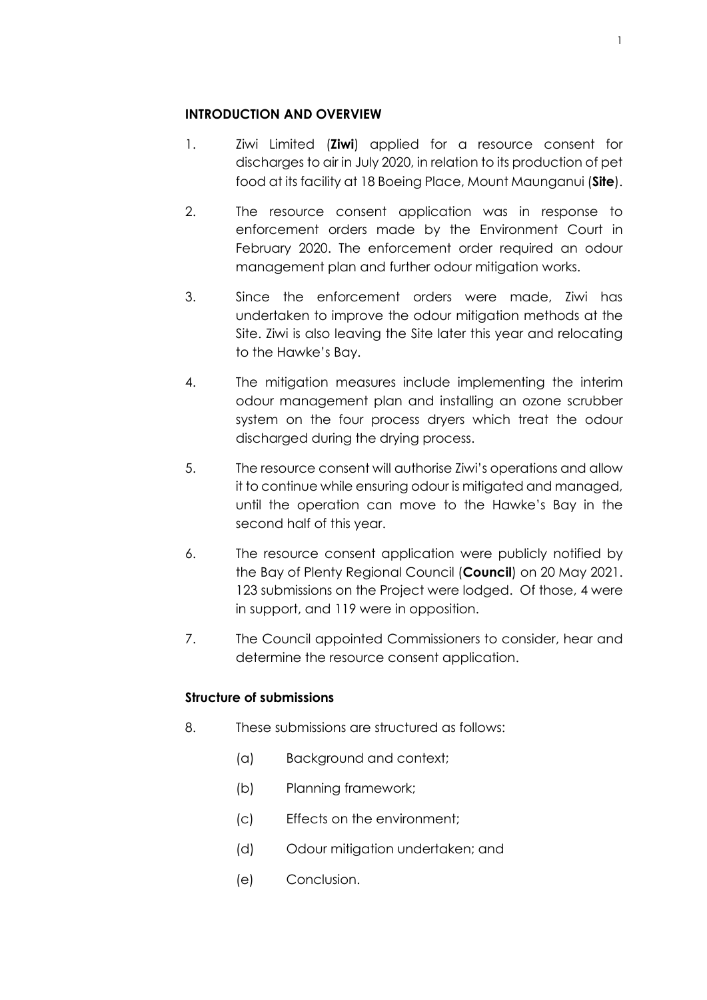### **INTRODUCTION AND OVERVIEW**

- 1. Ziwi Limited (**Ziwi**) applied for a resource consent for discharges to air in July 2020, in relation to its production of pet food at its facility at 18 Boeing Place, Mount Maunganui (**Site**).
- 2. The resource consent application was in response to enforcement orders made by the Environment Court in February 2020. The enforcement order required an odour management plan and further odour mitigation works.
- 3. Since the enforcement orders were made, Ziwi has undertaken to improve the odour mitigation methods at the Site. Ziwi is also leaving the Site later this year and relocating to the Hawke's Bay.
- 4. The mitigation measures include implementing the interim odour management plan and installing an ozone scrubber system on the four process dryers which treat the odour discharged during the drying process.
- 5. The resource consent will authorise Ziwi's operations and allow it to continue while ensuring odour is mitigated and managed, until the operation can move to the Hawke's Bay in the second half of this year.
- 6. The resource consent application were publicly notified by the Bay of Plenty Regional Council (**Council**) on 20 May 2021. 123 submissions on the Project were lodged. Of those, 4 were in support, and 119 were in opposition.
- 7. The Council appointed Commissioners to consider, hear and determine the resource consent application.

# **Structure of submissions**

- 8. These submissions are structured as follows:
	- (a) Background and context;
	- (b) Planning framework;
	- (c) Effects on the environment;
	- (d) Odour mitigation undertaken; and
	- (e) Conclusion.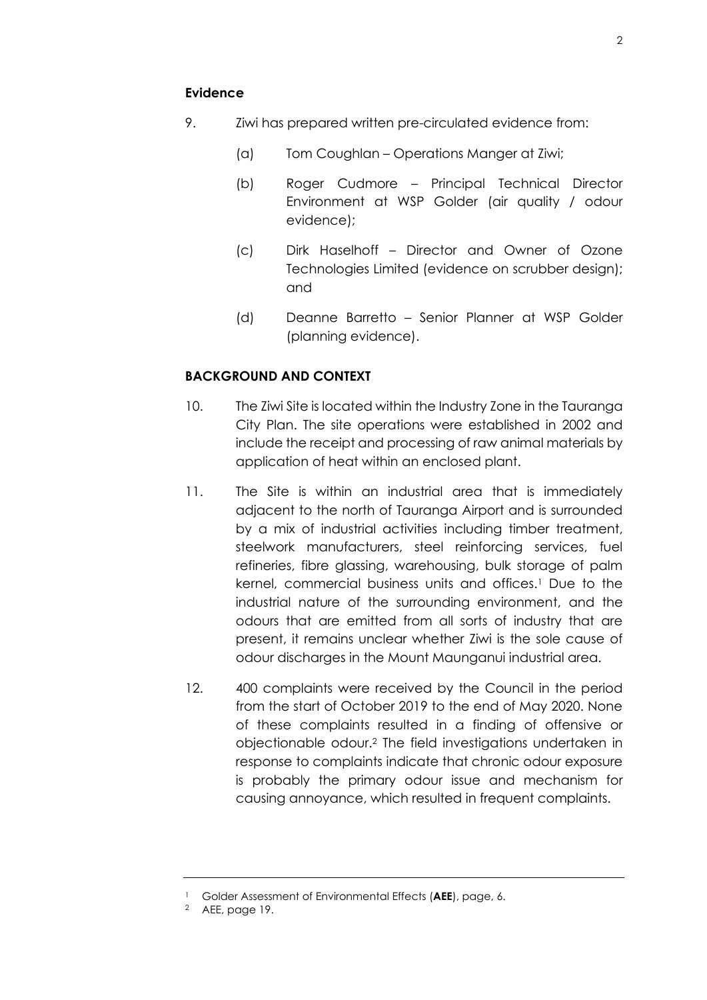- 9. Ziwi has prepared written pre-circulated evidence from:
	- (a) Tom Coughlan Operations Manger at Ziwi;
	- (b) Roger Cudmore Principal Technical Director Environment at WSP Golder (air quality / odour evidence);
	- (c) Dirk Haselhoff Director and Owner of Ozone Technologies Limited (evidence on scrubber design); and
	- (d) Deanne Barretto Senior Planner at WSP Golder (planning evidence).

### **BACKGROUND AND CONTEXT**

- 10. The Ziwi Site is located within the Industry Zone in the Tauranga City Plan. The site operations were established in 2002 and include the receipt and processing of raw animal materials by application of heat within an enclosed plant.
- 11. The Site is within an industrial area that is immediately adjacent to the north of Tauranga Airport and is surrounded by a mix of industrial activities including timber treatment, steelwork manufacturers, steel reinforcing services, fuel refineries, fibre glassing, warehousing, bulk storage of palm kernel, commercial business units and offices.<sup>1</sup> Due to the industrial nature of the surrounding environment, and the odours that are emitted from all sorts of industry that are present, it remains unclear whether Ziwi is the sole cause of odour discharges in the Mount Maunganui industrial area.
- 12. 400 complaints were received by the Council in the period from the start of October 2019 to the end of May 2020. None of these complaints resulted in a finding of offensive or objectionable odour.<sup>2</sup> The field investigations undertaken in response to complaints indicate that chronic odour exposure is probably the primary odour issue and mechanism for causing annoyance, which resulted in frequent complaints.

<sup>1</sup> Golder Assessment of Environmental Effects (**AEE**), page, 6.

<sup>2</sup> AEE, page 19.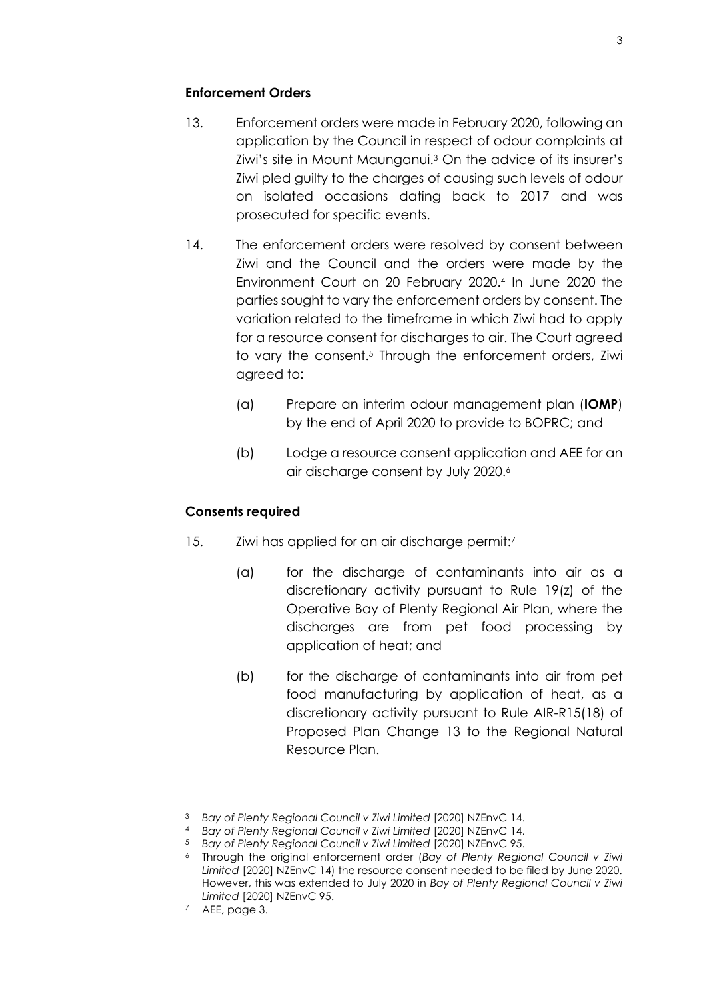### **Enforcement Orders**

- 13. Enforcement orders were made in February 2020, following an application by the Council in respect of odour complaints at Ziwi's site in Mount Maunganui.<sup>3</sup> On the advice of its insurer's Ziwi pled guilty to the charges of causing such levels of odour on isolated occasions dating back to 2017 and was prosecuted for specific events.
- 14. The enforcement orders were resolved by consent between Ziwi and the Council and the orders were made by the Environment Court on 20 February 2020.<sup>4</sup> In June 2020 the parties sought to vary the enforcement orders by consent. The variation related to the timeframe in which Ziwi had to apply for a resource consent for discharges to air. The Court agreed to vary the consent.<sup>5</sup> Through the enforcement orders, Ziwi agreed to:
	- (a) Prepare an interim odour management plan (**IOMP**) by the end of April 2020 to provide to BOPRC; and
	- (b) Lodge a resource consent application and AEE for an air discharge consent by July 2020.<sup>6</sup>

### **Consents required**

- 15. Ziwi has applied for an air discharge permit:<sup>7</sup>
	- (a) for the discharge of contaminants into air as a discretionary activity pursuant to Rule 19(z) of the Operative Bay of Plenty Regional Air Plan, where the discharges are from pet food processing by application of heat; and
	- (b) for the discharge of contaminants into air from pet food manufacturing by application of heat, as a discretionary activity pursuant to Rule AIR-R15(18) of Proposed Plan Change 13 to the Regional Natural Resource Plan.

<sup>3</sup> *Bay of Plenty Regional Council v Ziwi Limited* [2020] NZEnvC 14.

<sup>4</sup> *Bay of Plenty Regional Council v Ziwi Limited* [2020] NZEnvC 14.

<sup>5</sup> *Bay of Plenty Regional Council v Ziwi Limited* [2020] NZEnvC 95.

<sup>6</sup> Through the original enforcement order (*Bay of Plenty Regional Council v Ziwi Limited* [2020] NZEnvC 14) the resource consent needed to be filed by June 2020. However, this was extended to July 2020 in *Bay of Plenty Regional Council v Ziwi Limited* [2020] NZEnvC 95.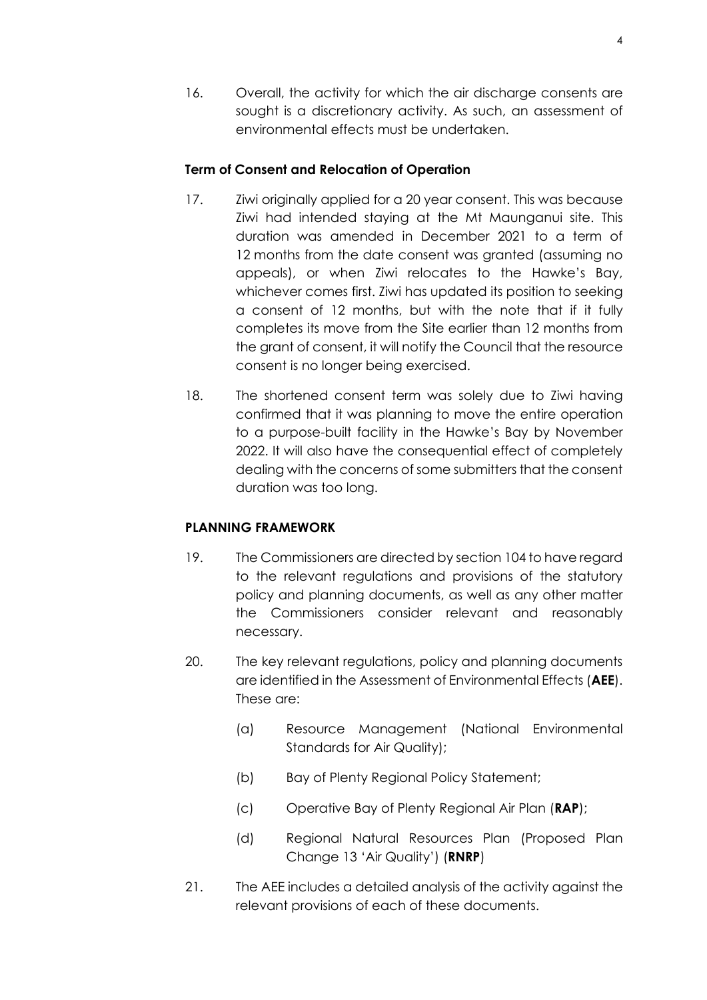16. Overall, the activity for which the air discharge consents are sought is a discretionary activity. As such, an assessment of environmental effects must be undertaken.

### **Term of Consent and Relocation of Operation**

- 17. Ziwi originally applied for a 20 year consent. This was because Ziwi had intended staying at the Mt Maunganui site. This duration was amended in December 2021 to a term of 12 months from the date consent was granted (assuming no appeals), or when Ziwi relocates to the Hawke's Bay, whichever comes first. Ziwi has updated its position to seeking a consent of 12 months, but with the note that if it fully completes its move from the Site earlier than 12 months from the grant of consent, it will notify the Council that the resource consent is no longer being exercised.
- 18. The shortened consent term was solely due to Ziwi having confirmed that it was planning to move the entire operation to a purpose-built facility in the Hawke's Bay by November 2022. It will also have the consequential effect of completely dealing with the concerns of some submitters that the consent duration was too long.

# **PLANNING FRAMEWORK**

- 19. The Commissioners are directed by section 104 to have regard to the relevant regulations and provisions of the statutory policy and planning documents, as well as any other matter the Commissioners consider relevant and reasonably necessary.
- 20. The key relevant regulations, policy and planning documents are identified in the Assessment of Environmental Effects (**AEE**). These are:
	- (a) Resource Management (National Environmental Standards for Air Quality);
	- (b) Bay of Plenty Regional Policy Statement;
	- (c) Operative Bay of Plenty Regional Air Plan (**RAP**);
	- (d) Regional Natural Resources Plan (Proposed Plan Change 13 'Air Quality') (**RNRP**)
- 21. The AEE includes a detailed analysis of the activity against the relevant provisions of each of these documents.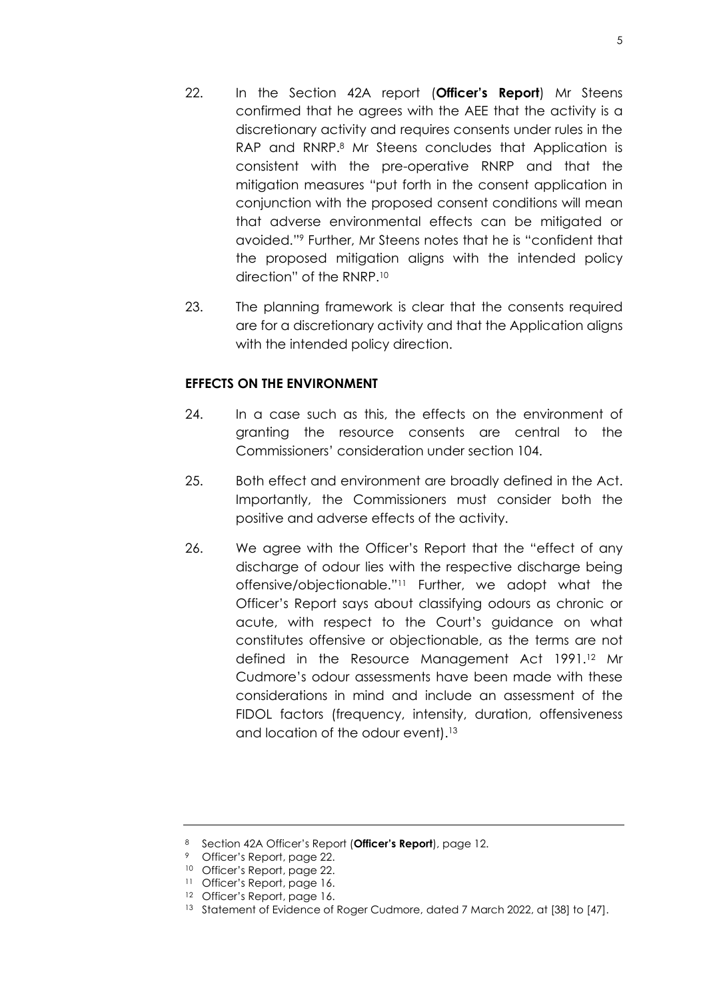- 22. In the Section 42A report (**Officer's Report**) Mr Steens confirmed that he agrees with the AEE that the activity is a discretionary activity and requires consents under rules in the RAP and RNRP.<sup>8</sup> Mr Steens concludes that Application is consistent with the pre-operative RNRP and that the mitigation measures "put forth in the consent application in conjunction with the proposed consent conditions will mean that adverse environmental effects can be mitigated or avoided."<sup>9</sup> Further, Mr Steens notes that he is "confident that the proposed mitigation aligns with the intended policy direction" of the RNRP.<sup>10</sup>
- 23. The planning framework is clear that the consents required are for a discretionary activity and that the Application aligns with the intended policy direction.

### **EFFECTS ON THE ENVIRONMENT**

- 24. In a case such as this, the effects on the environment of granting the resource consents are central to the Commissioners' consideration under section 104.
- 25. Both effect and environment are broadly defined in the Act. Importantly, the Commissioners must consider both the positive and adverse effects of the activity.
- 26. We agree with the Officer's Report that the "effect of any discharge of odour lies with the respective discharge being offensive/objectionable."<sup>11</sup> Further, we adopt what the Officer's Report says about classifying odours as chronic or acute, with respect to the Court's guidance on what constitutes offensive or objectionable, as the terms are not defined in the Resource Management Act 1991.<sup>12</sup> Mr Cudmore's odour assessments have been made with these considerations in mind and include an assessment of the FIDOL factors (frequency, intensity, duration, offensiveness and location of the odour event).<sup>13</sup>

<sup>8</sup> Section 42A Officer's Report (**Officer's Report**), page 12.

<sup>9</sup> Officer's Report, page 22.

<sup>10</sup> Officer's Report, page 22.

<sup>11</sup> Officer's Report, page 16.

<sup>12</sup> Officer's Report, page 16.

<sup>&</sup>lt;sup>13</sup> Statement of Evidence of Roger Cudmore, dated 7 March 2022, at [38] to [47].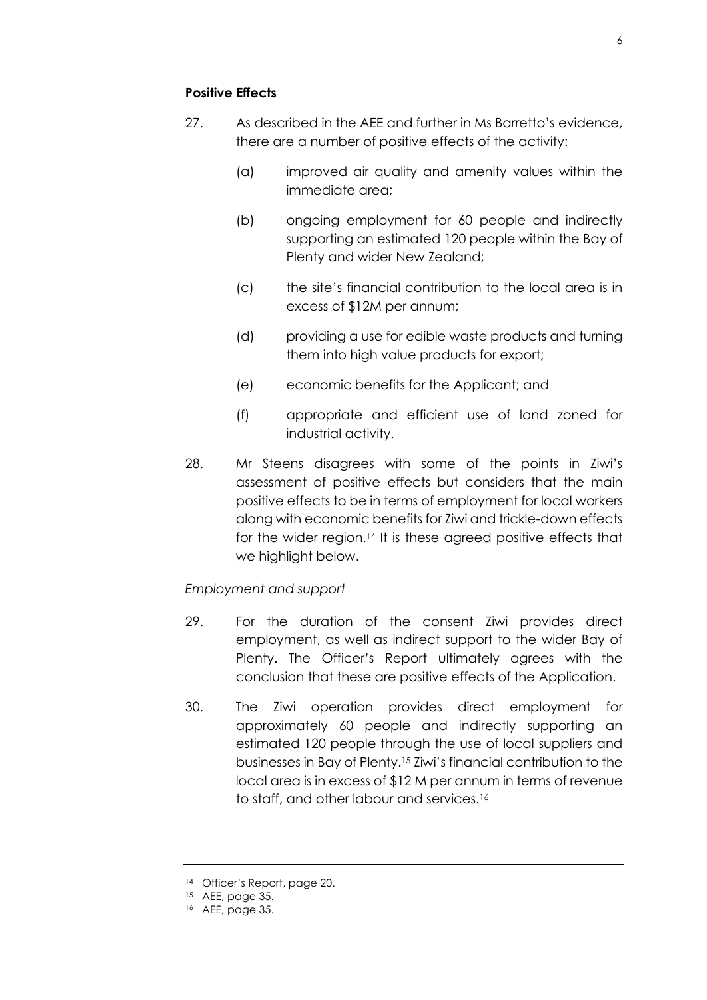# **Positive Effects**

- 27. As described in the AEE and further in Ms Barretto's evidence, there are a number of positive effects of the activity:
	- (a) improved air quality and amenity values within the immediate area;
	- (b) ongoing employment for 60 people and indirectly supporting an estimated 120 people within the Bay of Plenty and wider New Zealand;
	- (c) the site's financial contribution to the local area is in excess of \$12M per annum;
	- (d) providing a use for edible waste products and turning them into high value products for export;
	- (e) economic benefits for the Applicant; and
	- (f) appropriate and efficient use of land zoned for industrial activity.
- 28. Mr Steens disagrees with some of the points in Ziwi's assessment of positive effects but considers that the main positive effects to be in terms of employment for local workers along with economic benefits for Ziwi and trickle-down effects for the wider region.<sup>14</sup> It is these agreed positive effects that we highlight below.

# *Employment and support*

- 29. For the duration of the consent Ziwi provides direct employment, as well as indirect support to the wider Bay of Plenty. The Officer's Report ultimately agrees with the conclusion that these are positive effects of the Application.
- 30. The Ziwi operation provides direct employment for approximately 60 people and indirectly supporting an estimated 120 people through the use of local suppliers and businesses in Bay of Plenty.<sup>15</sup> Ziwi's financial contribution to the local area is in excess of \$12 M per annum in terms of revenue to staff, and other labour and services.<sup>16</sup>

<sup>14</sup> Officer's Report, page 20.

 $15$  AEE, page 35.

<sup>16</sup> AEE, page 35.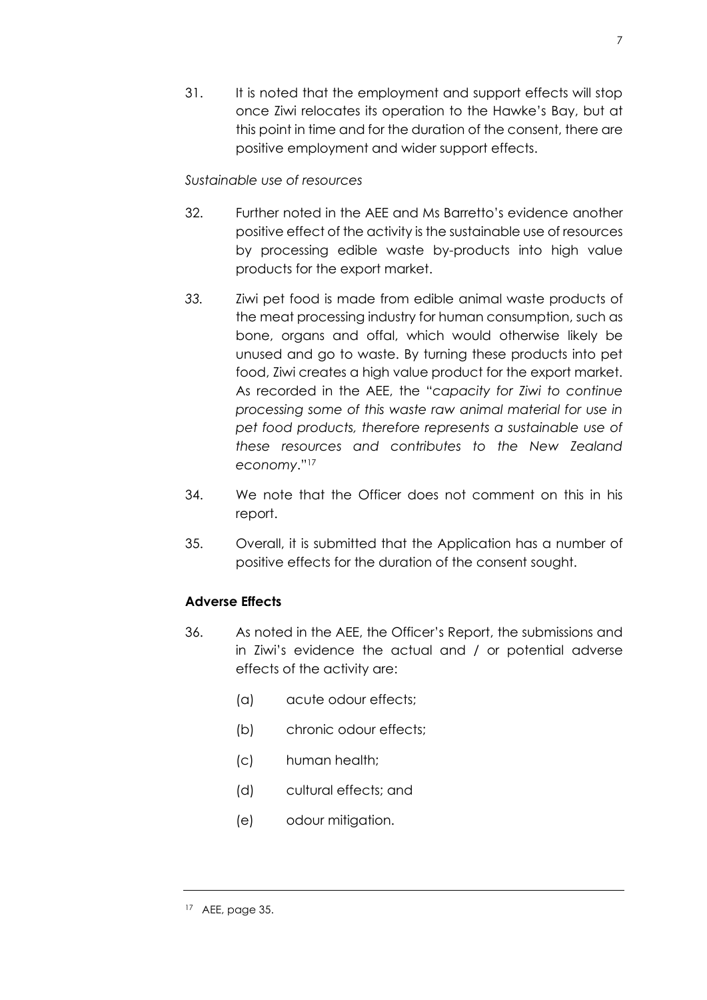31. It is noted that the employment and support effects will stop once Ziwi relocates its operation to the Hawke's Bay, but at this point in time and for the duration of the consent, there are positive employment and wider support effects.

### *Sustainable use of resources*

- 32. Further noted in the AEE and Ms Barretto's evidence another positive effect of the activity is the sustainable use of resources by processing edible waste by-products into high value products for the export market.
- *33.* Ziwi pet food is made from edible animal waste products of the meat processing industry for human consumption, such as bone, organs and offal, which would otherwise likely be unused and go to waste. By turning these products into pet food, Ziwi creates a high value product for the export market. As recorded in the AEE, the "*capacity for Ziwi to continue processing some of this waste raw animal material for use in pet food products, therefore represents a sustainable use of these resources and contributes to the New Zealand economy*."<sup>17</sup>
- 34. We note that the Officer does not comment on this in his report.
- 35. Overall, it is submitted that the Application has a number of positive effects for the duration of the consent sought.

# **Adverse Effects**

- 36. As noted in the AEE, the Officer's Report, the submissions and in Ziwi's evidence the actual and / or potential adverse effects of the activity are:
	- (a) acute odour effects;
	- (b) chronic odour effects;
	- (c) human health;
	- (d) cultural effects; and
	- (e) odour mitigation.

<sup>17</sup> AEE, page 35.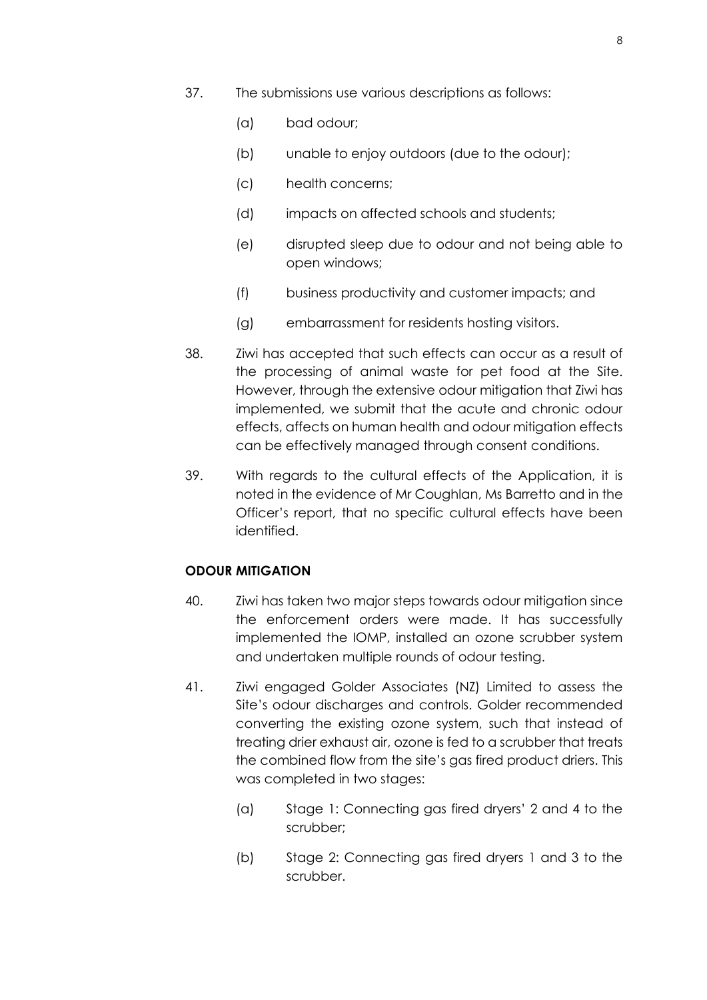- 37. The submissions use various descriptions as follows:
	- (a) bad odour;
	- (b) unable to enjoy outdoors (due to the odour);
	- (c) health concerns;
	- (d) impacts on affected schools and students;
	- (e) disrupted sleep due to odour and not being able to open windows;
	- (f) business productivity and customer impacts; and
	- (g) embarrassment for residents hosting visitors.
- 38. Ziwi has accepted that such effects can occur as a result of the processing of animal waste for pet food at the Site. However, through the extensive odour mitigation that Ziwi has implemented, we submit that the acute and chronic odour effects, affects on human health and odour mitigation effects can be effectively managed through consent conditions.
- 39. With regards to the cultural effects of the Application, it is noted in the evidence of Mr Coughlan, Ms Barretto and in the Officer's report, that no specific cultural effects have been identified.

#### **ODOUR MITIGATION**

- 40. Ziwi has taken two major steps towards odour mitigation since the enforcement orders were made. It has successfully implemented the IOMP, installed an ozone scrubber system and undertaken multiple rounds of odour testing.
- 41. Ziwi engaged Golder Associates (NZ) Limited to assess the Site's odour discharges and controls. Golder recommended converting the existing ozone system, such that instead of treating drier exhaust air, ozone is fed to a scrubber that treats the combined flow from the site's gas fired product driers. This was completed in two stages:
	- (a) Stage 1: Connecting gas fired dryers' 2 and 4 to the scrubber;
	- (b) Stage 2: Connecting gas fired dryers 1 and 3 to the scrubber.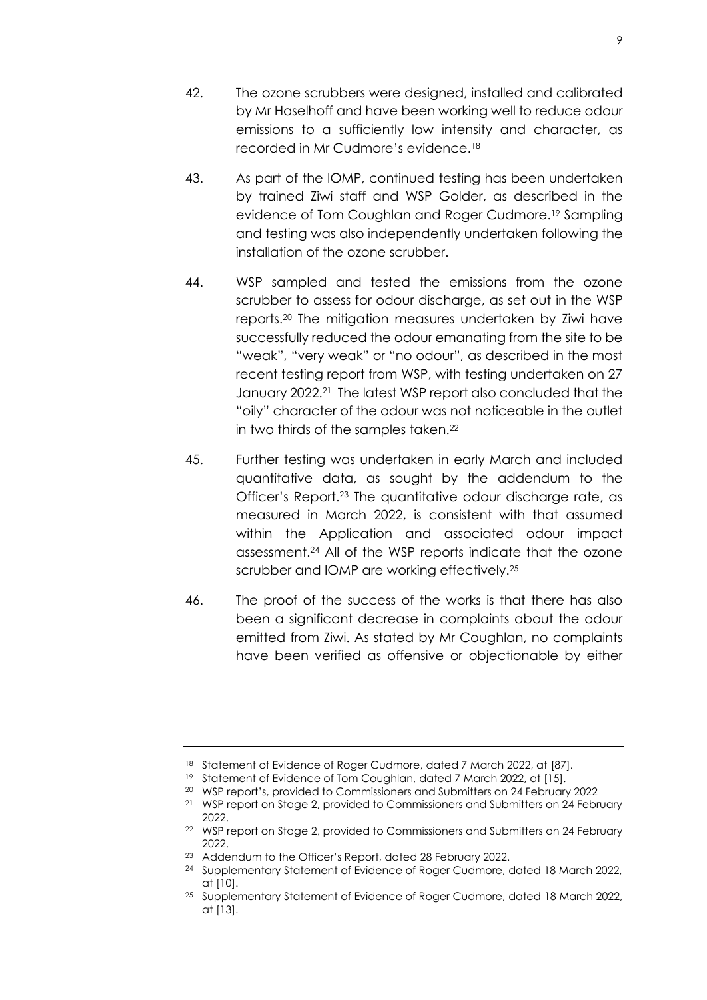- 43. As part of the IOMP, continued testing has been undertaken by trained Ziwi staff and WSP Golder, as described in the evidence of Tom Coughlan and Roger Cudmore.<sup>19</sup> Sampling and testing was also independently undertaken following the installation of the ozone scrubber.
- 44. WSP sampled and tested the emissions from the ozone scrubber to assess for odour discharge, as set out in the WSP reports.<sup>20</sup> The mitigation measures undertaken by Ziwi have successfully reduced the odour emanating from the site to be "weak", "very weak" or "no odour", as described in the most recent testing report from WSP, with testing undertaken on 27 January 2022.<sup>21</sup> The latest WSP report also concluded that the "oily" character of the odour was not noticeable in the outlet in two thirds of the samples taken.<sup>22</sup>
- 45. Further testing was undertaken in early March and included quantitative data, as sought by the addendum to the Officer's Report.<sup>23</sup> The quantitative odour discharge rate, as measured in March 2022, is consistent with that assumed within the Application and associated odour impact assessment.<sup>24</sup> All of the WSP reports indicate that the ozone scrubber and IOMP are working effectively.<sup>25</sup>
- 46. The proof of the success of the works is that there has also been a significant decrease in complaints about the odour emitted from Ziwi. As stated by Mr Coughlan, no complaints have been verified as offensive or objectionable by either

<sup>18</sup> Statement of Evidence of Roger Cudmore, dated 7 March 2022, at [87].

<sup>19</sup> Statement of Evidence of Tom Coughlan, dated 7 March 2022, at [15].

<sup>20</sup> WSP report's, provided to Commissioners and Submitters on 24 February 2022

<sup>&</sup>lt;sup>21</sup> WSP report on Stage 2, provided to Commissioners and Submitters on 24 February 2022.

<sup>&</sup>lt;sup>22</sup> WSP report on Stage 2, provided to Commissioners and Submitters on 24 February 2022.

<sup>&</sup>lt;sup>23</sup> Addendum to the Officer's Report, dated 28 February 2022.

<sup>24</sup> Supplementary Statement of Evidence of Roger Cudmore, dated 18 March 2022, at [10].

<sup>25</sup> Supplementary Statement of Evidence of Roger Cudmore, dated 18 March 2022, at [13].